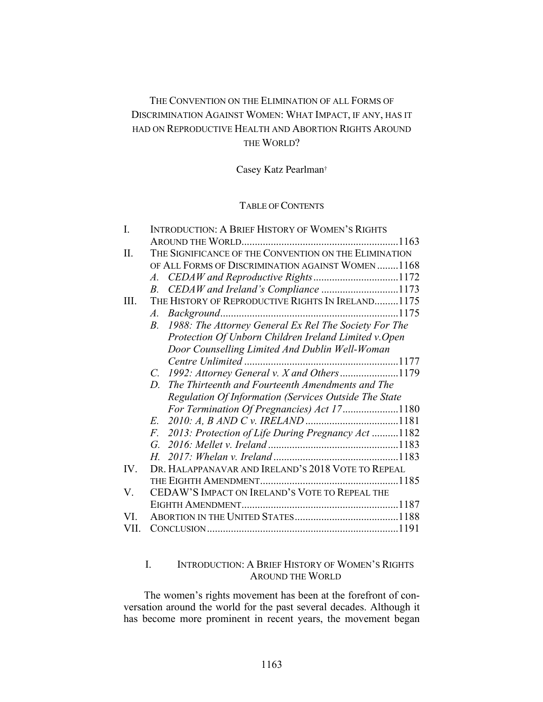# THE CONVENTION ON THE ELIMINATION OF ALL FORMS OF DISCRIMINATION AGAINST WOMEN: WHAT IMPACT, IF ANY, HAS IT HAD ON REPRODUCTIVE HEALTH AND ABORTION RIGHTS AROUND THE WORLD?

Casey Katz Pearlman†

# TABLE OF CONTENTS

| I.   | <b>INTRODUCTION: A BRIEF HISTORY OF WOMEN'S RIGHTS</b>      |
|------|-------------------------------------------------------------|
|      |                                                             |
| II.  | THE SIGNIFICANCE OF THE CONVENTION ON THE ELIMINATION       |
|      | OF ALL FORMS OF DISCRIMINATION AGAINST WOMEN1168            |
|      |                                                             |
|      | CEDAW and Ireland's Compliance 1173<br>$B_{-}$              |
| III. | THE HISTORY OF REPRODUCTIVE RIGHTS IN IRELAND1175           |
|      | $\mathcal{A}$ .                                             |
|      | 1988: The Attorney General Ex Rel The Society For The<br>B. |
|      | Protection Of Unborn Children Ireland Limited v.Open        |
|      | Door Counselling Limited And Dublin Well-Woman              |
|      |                                                             |
|      | 1992: Attorney General v. X and Others1179<br>$C_{\cdot}$   |
|      | The Thirteenth and Fourteenth Amendments and The<br>D.      |
|      | Regulation Of Information (Services Outside The State       |
|      | For Termination Of Pregnancies) Act 171180                  |
|      |                                                             |
|      | F. 2013: Protection of Life During Pregnancy Act 1182       |
|      |                                                             |
|      |                                                             |
| IV.  | DR. HALAPPANAVAR AND IRELAND'S 2018 VOTE TO REPEAL          |
|      |                                                             |
| V.   | CEDAW'S IMPACT ON IRELAND'S VOTE TO REPEAL THE              |
|      |                                                             |
| VI.  |                                                             |
|      |                                                             |
|      |                                                             |

# I. INTRODUCTION: A BRIEF HISTORY OF WOMEN'S RIGHTS AROUND THE WORLD

The women's rights movement has been at the forefront of conversation around the world for the past several decades. Although it has become more prominent in recent years, the movement began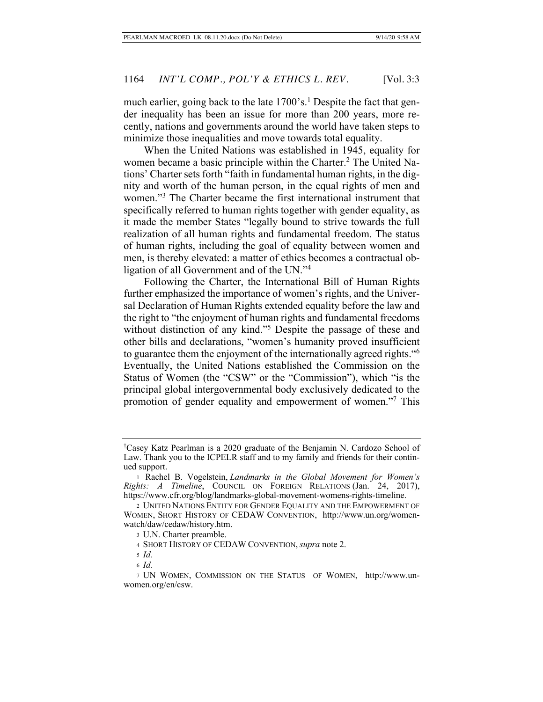much earlier, going back to the late 1700's.<sup>1</sup> Despite the fact that gender inequality has been an issue for more than 200 years, more recently, nations and governments around the world have taken steps to minimize those inequalities and move towards total equality.

When the United Nations was established in 1945, equality for women became a basic principle within the Charter.<sup>2</sup> The United Nations' Charter sets forth "faith in fundamental human rights, in the dignity and worth of the human person, in the equal rights of men and women."3 The Charter became the first international instrument that specifically referred to human rights together with gender equality, as it made the member States "legally bound to strive towards the full realization of all human rights and fundamental freedom. The status of human rights, including the goal of equality between women and men, is thereby elevated: a matter of ethics becomes a contractual obligation of all Government and of the UN."4

Following the Charter, the International Bill of Human Rights further emphasized the importance of women's rights, and the Universal Declaration of Human Rights extended equality before the law and the right to "the enjoyment of human rights and fundamental freedoms without distinction of any kind."<sup>5</sup> Despite the passage of these and other bills and declarations, "women's humanity proved insufficient to guarantee them the enjoyment of the internationally agreed rights."6 Eventually, the United Nations established the Commission on the Status of Women (the "CSW" or the "Commission"), which "is the principal global intergovernmental body exclusively dedicated to the promotion of gender equality and empowerment of women."7 This

<sup>†</sup> Casey Katz Pearlman is a 2020 graduate of the Benjamin N. Cardozo School of Law. Thank you to the ICPELR staff and to my family and friends for their continued support.

<sup>1</sup> Rachel B. Vogelstein, *Landmarks in the Global Movement for Women's Rights: A Timeline*, COUNCIL ON FOREIGN RELATIONS (Jan. 24, 2017), https://www.cfr.org/blog/landmarks-global-movement-womens-rights-timeline.

<sup>2</sup> UNITED NATIONS ENTITY FOR GENDER EQUALITY AND THE EMPOWERMENT OF WOMEN, SHORT HISTORY OF CEDAW CONVENTION, http://www.un.org/womenwatch/daw/cedaw/history.htm.

<sup>3</sup> U.N. Charter preamble.

<sup>4</sup> SHORT HISTORY OF CEDAW CONVENTION, *supra* note 2.

<sup>5</sup> *Id.*

<sup>6</sup> *Id.*

<sup>7</sup> UN WOMEN, COMMISSION ON THE STATUS OF WOMEN, http://www.unwomen.org/en/csw.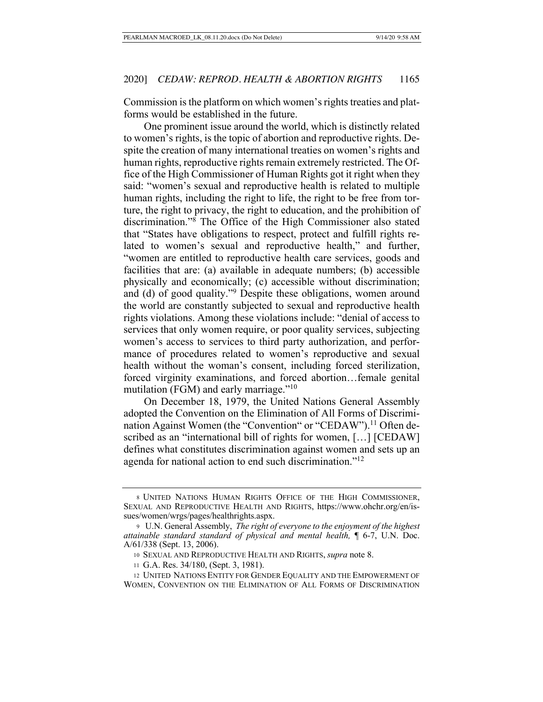Commission is the platform on which women's rights treaties and platforms would be established in the future.

One prominent issue around the world, which is distinctly related to women's rights, is the topic of abortion and reproductive rights. Despite the creation of many international treaties on women's rights and human rights, reproductive rights remain extremely restricted. The Office of the High Commissioner of Human Rights got it right when they said: "women's sexual and reproductive health is related to multiple human rights, including the right to life, the right to be free from torture, the right to privacy, the right to education, and the prohibition of discrimination."8 The Office of the High Commissioner also stated that "States have obligations to respect, protect and fulfill rights related to women's sexual and reproductive health," and further, "women are entitled to reproductive health care services, goods and facilities that are: (a) available in adequate numbers; (b) accessible physically and economically; (c) accessible without discrimination; and (d) of good quality."<sup>9</sup> Despite these obligations, women around the world are constantly subjected to sexual and reproductive health rights violations. Among these violations include: "denial of access to services that only women require, or poor quality services, subjecting women's access to services to third party authorization, and performance of procedures related to women's reproductive and sexual health without the woman's consent, including forced sterilization, forced virginity examinations, and forced abortion…female genital mutilation (FGM) and early marriage."<sup>10</sup>

On December 18, 1979, the United Nations General Assembly adopted the Convention on the Elimination of All Forms of Discrimination Against Women (the "Convention" or "CEDAW").<sup>11</sup> Often described as an "international bill of rights for women, […] [CEDAW] defines what constitutes discrimination against women and sets up an agenda for national action to end such discrimination."<sup>12</sup>

<sup>8</sup> UNITED NATIONS HUMAN RIGHTS OFFICE OF THE HIGH COMMISSIONER, SEXUAL AND REPRODUCTIVE HEALTH AND RIGHTS, https://www.ohchr.org/en/issues/women/wrgs/pages/healthrights.aspx.

<sup>9</sup> U.N. General Assembly, *The right of everyone to the enjoyment of the highest attainable standard standard of physical and mental health,* ¶ 6-7, U.N. Doc. A/61/338 (Sept. 13, 2006).

<sup>10</sup> SEXUAL AND REPRODUCTIVE HEALTH AND RIGHTS, *supra* note 8.

<sup>11</sup> G.A. Res. 34/180, (Sept. 3, 1981).

<sup>12</sup> UNITED NATIONS ENTITY FOR GENDER EQUALITY AND THE EMPOWERMENT OF WOMEN, CONVENTION ON THE ELIMINATION OF ALL FORMS OF DISCRIMINATION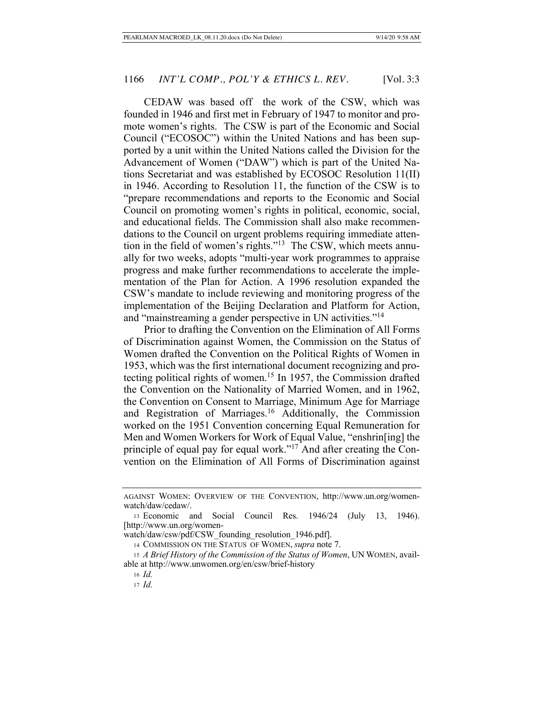CEDAW was based off the work of the CSW, which was founded in 1946 and first met in February of 1947 to monitor and promote women's rights. The CSW is part of the Economic and Social Council ("ECOSOC") within the United Nations and has been supported by a unit within the United Nations called the Division for the Advancement of Women ("DAW") which is part of the United Nations Secretariat and was established by ECOSOC Resolution 11(II) in 1946. According to Resolution 11, the function of the CSW is to "prepare recommendations and reports to the Economic and Social Council on promoting women's rights in political, economic, social, and educational fields. The Commission shall also make recommendations to the Council on urgent problems requiring immediate attention in the field of women's rights."13 The CSW, which meets annually for two weeks, adopts "multi-year work programmes to appraise progress and make further recommendations to accelerate the implementation of the Plan for Action. A 1996 resolution expanded the CSW's mandate to include reviewing and monitoring progress of the implementation of the Beijing Declaration and Platform for Action, and "mainstreaming a gender perspective in UN activities."14

Prior to drafting the Convention on the Elimination of All Forms of Discrimination against Women, the Commission on the Status of Women drafted the Convention on the Political Rights of Women in 1953, which was the first international document recognizing and protecting political rights of women.<sup>15</sup> In 1957, the Commission drafted the Convention on the Nationality of Married Women, and in 1962, the Convention on Consent to Marriage, Minimum Age for Marriage and Registration of Marriages.<sup>16</sup> Additionally, the Commission worked on the 1951 Convention concerning Equal Remuneration for Men and Women Workers for Work of Equal Value, "enshrin[ing] the principle of equal pay for equal work."17 And after creating the Convention on the Elimination of All Forms of Discrimination against

AGAINST WOMEN: OVERVIEW OF THE CONVENTION, http://www.un.org/womenwatch/daw/cedaw/.

<sup>13</sup> Economic and Social Council Res. 1946/24 (July 13, 1946). [http://www.un.org/women-

watch/daw/csw/pdf/CSW\_founding\_resolution\_1946.pdf].

<sup>14</sup> COMMISSION ON THE STATUS OF WOMEN, *supra* note 7.

<sup>15</sup> *A Brief History of the Commission of the Status of Women*, UN WOMEN, available at http://www.unwomen.org/en/csw/brief-history

<sup>16</sup> *Id.*

<sup>17</sup> *Id.*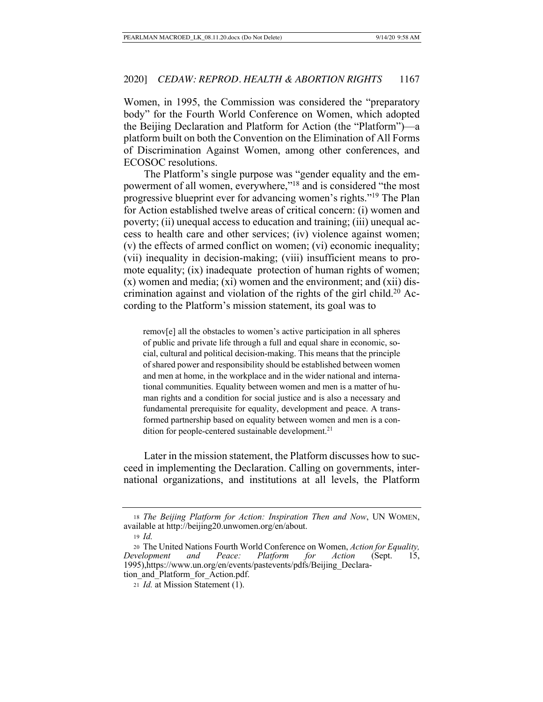Women, in 1995, the Commission was considered the "preparatory body" for the Fourth World Conference on Women, which adopted the Beijing Declaration and Platform for Action (the "Platform")—a platform built on both the Convention on the Elimination of All Forms of Discrimination Against Women, among other conferences, and ECOSOC resolutions.

The Platform's single purpose was "gender equality and the empowerment of all women, everywhere,"<sup>18</sup> and is considered "the most progressive blueprint ever for advancing women's rights."19 The Plan for Action established twelve areas of critical concern: (i) women and poverty; (ii) unequal access to education and training; (iii) unequal access to health care and other services; (iv) violence against women; (v) the effects of armed conflict on women; (vi) economic inequality; (vii) inequality in decision-making; (viii) insufficient means to promote equality; (ix) inadequate protection of human rights of women; (x) women and media; (xi) women and the environment; and (xii) discrimination against and violation of the rights of the girl child.<sup>20</sup> According to the Platform's mission statement, its goal was to

remov[e] all the obstacles to women's active participation in all spheres of public and private life through a full and equal share in economic, social, cultural and political decision-making. This means that the principle of shared power and responsibility should be established between women and men at home, in the workplace and in the wider national and international communities. Equality between women and men is a matter of human rights and a condition for social justice and is also a necessary and fundamental prerequisite for equality, development and peace. A transformed partnership based on equality between women and men is a condition for people-centered sustainable development.<sup>21</sup>

Later in the mission statement, the Platform discusses how to succeed in implementing the Declaration. Calling on governments, international organizations, and institutions at all levels, the Platform

<sup>18</sup> *The Beijing Platform for Action: Inspiration Then and Now*, UN WOMEN, available at http://beijing20.unwomen.org/en/about.

<sup>19</sup> *Id.* 

<sup>20</sup> The United Nations Fourth World Conference on Women, *Action for Equality, Development and Peace: Platform for Action* (Sept. 15, 1995),https://www.un.org/en/events/pastevents/pdfs/Beijing\_Declaration\_and\_Platform\_for\_Action.pdf.

<sup>21</sup> *Id.* at Mission Statement (1).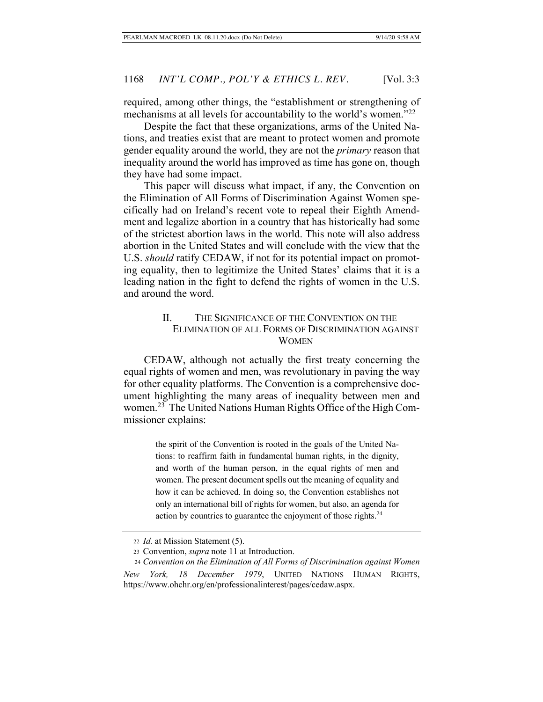required, among other things, the "establishment or strengthening of mechanisms at all levels for accountability to the world's women."<sup>22</sup>

Despite the fact that these organizations, arms of the United Nations, and treaties exist that are meant to protect women and promote gender equality around the world, they are not the *primary* reason that inequality around the world has improved as time has gone on, though they have had some impact.

This paper will discuss what impact, if any, the Convention on the Elimination of All Forms of Discrimination Against Women specifically had on Ireland's recent vote to repeal their Eighth Amendment and legalize abortion in a country that has historically had some of the strictest abortion laws in the world. This note will also address abortion in the United States and will conclude with the view that the U.S. *should* ratify CEDAW, if not for its potential impact on promoting equality, then to legitimize the United States' claims that it is a leading nation in the fight to defend the rights of women in the U.S. and around the word.

## II. THE SIGNIFICANCE OF THE CONVENTION ON THE ELIMINATION OF ALL FORMS OF DISCRIMINATION AGAINST WOMEN

CEDAW, although not actually the first treaty concerning the equal rights of women and men, was revolutionary in paving the way for other equality platforms. The Convention is a comprehensive document highlighting the many areas of inequality between men and women.23 The United Nations Human Rights Office of the High Commissioner explains:

> the spirit of the Convention is rooted in the goals of the United Nations: to reaffirm faith in fundamental human rights, in the dignity, and worth of the human person, in the equal rights of men and women. The present document spells out the meaning of equality and how it can be achieved. In doing so, the Convention establishes not only an international bill of rights for women, but also, an agenda for action by countries to guarantee the enjoyment of those rights.<sup>24</sup>

<sup>22</sup> *Id.* at Mission Statement (5).

<sup>23</sup> Convention, *supra* note 11 at Introduction.

 <sup>24</sup> *Convention on the Elimination of All Forms of Discrimination against Women New York, 18 December 1979*, UNITED NATIONS HUMAN RIGHTS, https://www.ohchr.org/en/professionalinterest/pages/cedaw.aspx.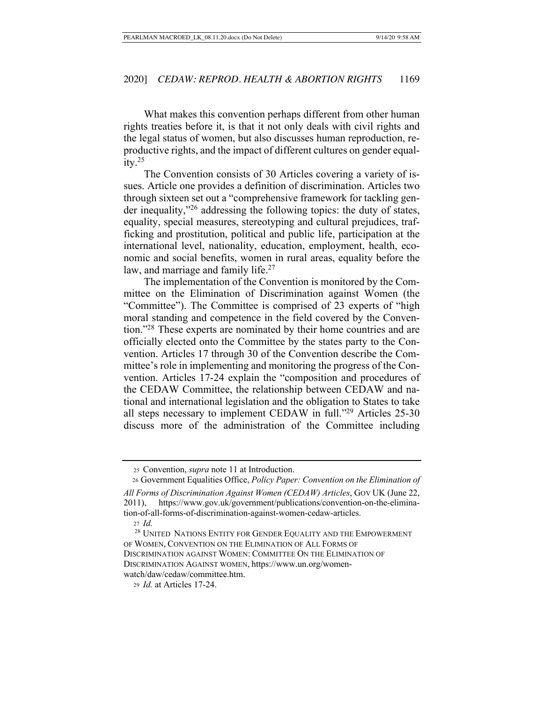What makes this convention perhaps different from other human rights treaties before it, is that it not only deals with civil rights and the legal status of women, but also discusses human reproduction, reproductive rights, and the impact of different cultures on gender equal $itv.<sup>25</sup>$ 

The Convention consists of 30 Articles covering a variety of issues. Article one provides a definition of discrimination. Articles two through sixteen set out a "comprehensive framework for tackling gender inequality,"26 addressing the following topics: the duty of states, equality, special measures, stereotyping and cultural prejudices, trafficking and prostitution, political and public life, participation at the international level, nationality, education, employment, health, economic and social benefits, women in rural areas, equality before the law, and marriage and family life.<sup>27</sup>

The implementation of the Convention is monitored by the Committee on the Elimination of Discrimination against Women (the "Committee"). The Committee is comprised of 23 experts of "high moral standing and competence in the field covered by the Convention."28 These experts are nominated by their home countries and are officially elected onto the Committee by the states party to the Convention. Articles 17 through 30 of the Convention describe the Committee's role in implementing and monitoring the progress of the Convention. Articles 17-24 explain the "composition and procedures of the CEDAW Committee, the relationship between CEDAW and national and international legislation and the obligation to States to take all steps necessary to implement CEDAW in full."29 Articles 25-30 discuss more of the administration of the Committee including

 <sup>25</sup> Convention, *supra* note 11 at Introduction.

 <sup>26</sup> Government Equalities Office, *Policy Paper: Convention on the Elimination of* 

*All Forms of Discrimination Against Women (CEDAW) Articles*, GOV UK (June 22, 2011), https://www.gov.uk/government/publications/convention-on-the-elimination-of-all-forms-of-discrimination-against-women-cedaw-articles.

<sup>27</sup> *Id.*

 <sup>28</sup> UNITED NATIONS ENTITY FOR GENDER EQUALITY AND THE EMPOWERMENT OF WOMEN, CONVENTION ON THE ELIMINATION OF ALL FORMS OF DISCRIMINATION AGAINST WOMEN: COMMITTEE ON THE ELIMINATION OF DISCRIMINATION AGAINST WOMEN, https://www.un.org/womenwatch/daw/cedaw/committee.htm.

<sup>29</sup> *Id.* at Articles 17-24.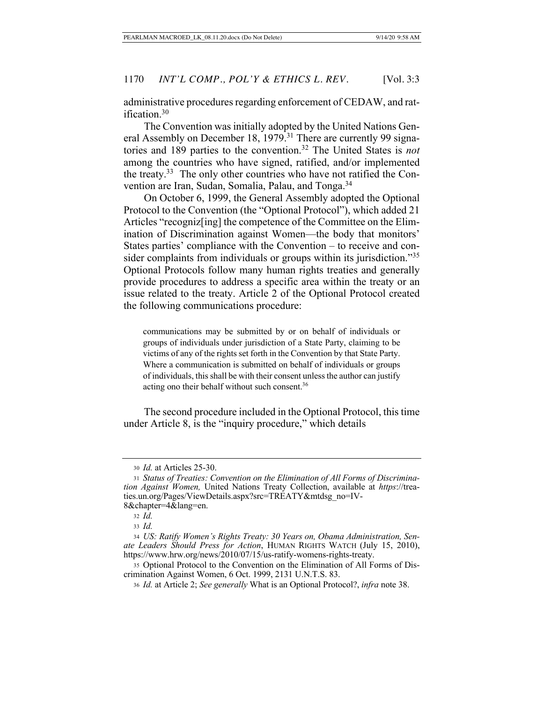administrative procedures regarding enforcement of CEDAW, and ratification.30

The Convention was initially adopted by the United Nations General Assembly on December 18, 1979.<sup>31</sup> There are currently 99 signatories and 189 parties to the convention.32 The United States is *not* among the countries who have signed, ratified, and/or implemented the treaty.33 The only other countries who have not ratified the Convention are Iran, Sudan, Somalia, Palau, and Tonga.34

On October 6, 1999, the General Assembly adopted the Optional Protocol to the Convention (the "Optional Protocol"), which added 21 Articles "recogniz[ing] the competence of the Committee on the Elimination of Discrimination against Women—the body that monitors' States parties' compliance with the Convention – to receive and consider complaints from individuals or groups within its jurisdiction."35 Optional Protocols follow many human rights treaties and generally provide procedures to address a specific area within the treaty or an issue related to the treaty. Article 2 of the Optional Protocol created the following communications procedure:

communications may be submitted by or on behalf of individuals or groups of individuals under jurisdiction of a State Party, claiming to be victims of any of the rights set forth in the Convention by that State Party. Where a communication is submitted on behalf of individuals or groups of individuals, this shall be with their consent unless the author can justify acting ono their behalf without such consent.36

The second procedure included in the Optional Protocol, this time under Article 8, is the "inquiry procedure," which details

<sup>30</sup> *Id.* at Articles 25-30.

<sup>31</sup> *Status of Treaties: Convention on the Elimination of All Forms of Discrimination Against Women,* United Nations Treaty Collection, available at *https*://treaties.un.org/Pages/ViewDetails.aspx?src=TREATY&mtdsg\_no=IV-8&chapter=4&lang=en.

<sup>32</sup> *Id.*

<sup>33</sup> *Id.*

<sup>34</sup> *US: Ratify Women's Rights Treaty: 30 Years on, Obama Administration, Senate Leaders Should Press for Action*, HUMAN RIGHTS WATCH (July 15, 2010), https://www.hrw.org/news/2010/07/15/us-ratify-womens-rights-treaty.

<sup>35</sup> Optional Protocol to the Convention on the Elimination of All Forms of Discrimination Against Women, 6 Oct. 1999, 2131 U.N.T.S. 83.

<sup>36</sup> *Id.* at Article 2; *See generally* What is an Optional Protocol?, *infra* note 38.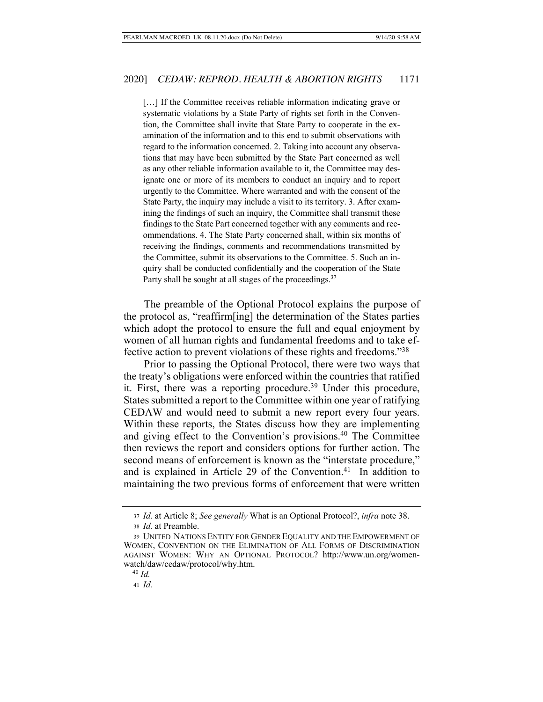[...] If the Committee receives reliable information indicating grave or systematic violations by a State Party of rights set forth in the Convention, the Committee shall invite that State Party to cooperate in the examination of the information and to this end to submit observations with regard to the information concerned. 2. Taking into account any observations that may have been submitted by the State Part concerned as well as any other reliable information available to it, the Committee may designate one or more of its members to conduct an inquiry and to report urgently to the Committee. Where warranted and with the consent of the State Party, the inquiry may include a visit to its territory. 3. After examining the findings of such an inquiry, the Committee shall transmit these findings to the State Part concerned together with any comments and recommendations. 4. The State Party concerned shall, within six months of receiving the findings, comments and recommendations transmitted by the Committee, submit its observations to the Committee. 5. Such an inquiry shall be conducted confidentially and the cooperation of the State Party shall be sought at all stages of the proceedings.<sup>37</sup>

The preamble of the Optional Protocol explains the purpose of the protocol as, "reaffirm[ing] the determination of the States parties which adopt the protocol to ensure the full and equal enjoyment by women of all human rights and fundamental freedoms and to take effective action to prevent violations of these rights and freedoms."38

Prior to passing the Optional Protocol, there were two ways that the treaty's obligations were enforced within the countries that ratified it. First, there was a reporting procedure.<sup>39</sup> Under this procedure, States submitted a report to the Committee within one year of ratifying CEDAW and would need to submit a new report every four years. Within these reports, the States discuss how they are implementing and giving effect to the Convention's provisions.<sup>40</sup> The Committee then reviews the report and considers options for further action. The second means of enforcement is known as the "interstate procedure," and is explained in Article 29 of the Convention.<sup>41</sup> In addition to maintaining the two previous forms of enforcement that were written

<sup>37</sup> *Id.* at Article 8; *See generally* What is an Optional Protocol?, *infra* note 38.

<sup>38</sup> *Id.* at Preamble.

<sup>39</sup> UNITED NATIONS ENTITY FOR GENDER EQUALITY AND THE EMPOWERMENT OF WOMEN, CONVENTION ON THE ELIMINATION OF ALL FORMS OF DISCRIMINATION AGAINST WOMEN: WHY AN OPTIONAL PROTOCOL? http://www.un.org/womenwatch/daw/cedaw/protocol/why.htm.

 $40$  *Id.* 

<sup>41</sup> *Id.*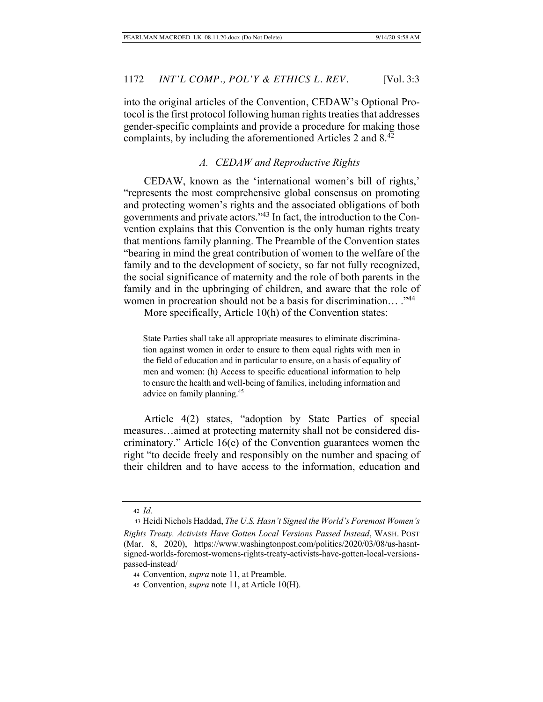into the original articles of the Convention, CEDAW's Optional Protocol is the first protocol following human rights treaties that addresses gender-specific complaints and provide a procedure for making those complaints, by including the aforementioned Articles 2 and 8.42

### *A. CEDAW and Reproductive Rights*

CEDAW, known as the 'international women's bill of rights,' "represents the most comprehensive global consensus on promoting and protecting women's rights and the associated obligations of both governments and private actors."43 In fact, the introduction to the Convention explains that this Convention is the only human rights treaty that mentions family planning. The Preamble of the Convention states "bearing in mind the great contribution of women to the welfare of the family and to the development of society, so far not fully recognized, the social significance of maternity and the role of both parents in the family and in the upbringing of children, and aware that the role of women in procreation should not be a basis for discrimination... ."<sup>44</sup>

More specifically, Article 10(h) of the Convention states:

State Parties shall take all appropriate measures to eliminate discrimination against women in order to ensure to them equal rights with men in the field of education and in particular to ensure, on a basis of equality of men and women: (h) Access to specific educational information to help to ensure the health and well-being of families, including information and advice on family planning.45

Article 4(2) states, "adoption by State Parties of special measures…aimed at protecting maternity shall not be considered discriminatory." Article 16(e) of the Convention guarantees women the right "to decide freely and responsibly on the number and spacing of their children and to have access to the information, education and

<sup>42</sup> *Id.*

 <sup>43</sup> Heidi Nichols Haddad, *The U.S. Hasn't Signed the World's Foremost Women's Rights Treaty. Activists Have Gotten Local Versions Passed Instead*, WASH. POST (Mar. 8, 2020), https://www.washingtonpost.com/politics/2020/03/08/us-hasntsigned-worlds-foremost-womens-rights-treaty-activists-have-gotten-local-versionspassed-instead/

<sup>44</sup> Convention, *supra* note 11, at Preamble.

<sup>45</sup> Convention, *supra* note 11, at Article 10(H).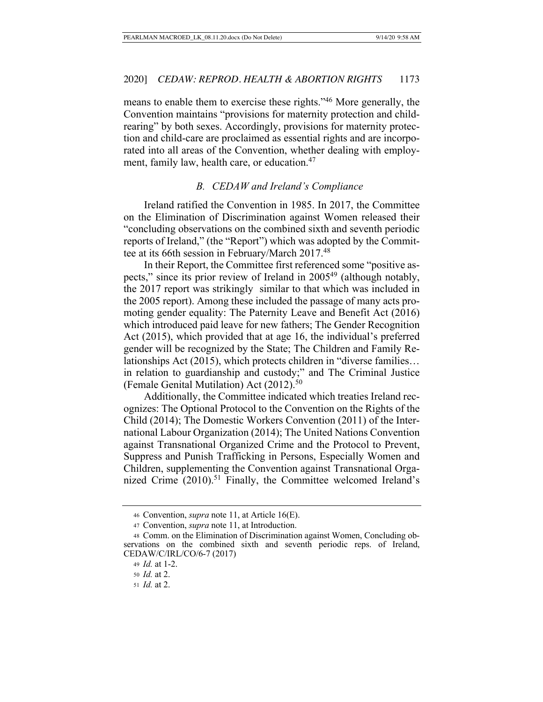means to enable them to exercise these rights."46 More generally, the Convention maintains "provisions for maternity protection and childrearing" by both sexes. Accordingly, provisions for maternity protection and child-care are proclaimed as essential rights and are incorporated into all areas of the Convention, whether dealing with employment, family law, health care, or education.<sup>47</sup>

### *B. CEDAW and Ireland's Compliance*

Ireland ratified the Convention in 1985. In 2017, the Committee on the Elimination of Discrimination against Women released their "concluding observations on the combined sixth and seventh periodic reports of Ireland," (the "Report") which was adopted by the Committee at its 66th session in February/March 2017.<sup>48</sup>

In their Report, the Committee first referenced some "positive aspects," since its prior review of Ireland in 200549 (although notably, the 2017 report was strikingly similar to that which was included in the 2005 report). Among these included the passage of many acts promoting gender equality: The Paternity Leave and Benefit Act (2016) which introduced paid leave for new fathers; The Gender Recognition Act (2015), which provided that at age 16, the individual's preferred gender will be recognized by the State; The Children and Family Relationships Act (2015), which protects children in "diverse families… in relation to guardianship and custody;" and The Criminal Justice (Female Genital Mutilation) Act  $(2012).<sup>50</sup>$ 

Additionally, the Committee indicated which treaties Ireland recognizes: The Optional Protocol to the Convention on the Rights of the Child (2014); The Domestic Workers Convention (2011) of the International Labour Organization (2014); The United Nations Convention against Transnational Organized Crime and the Protocol to Prevent, Suppress and Punish Trafficking in Persons, Especially Women and Children, supplementing the Convention against Transnational Organized Crime (2010).<sup>51</sup> Finally, the Committee welcomed Ireland's

<sup>46</sup> Convention, *supra* note 11, at Article 16(E).

<sup>47</sup> Convention, *supra* note 11, at Introduction.

<sup>48</sup> Comm. on the Elimination of Discrimination against Women, Concluding observations on the combined sixth and seventh periodic reps. of Ireland, CEDAW/C/IRL/CO/6-7 (2017)

<sup>49</sup> *Id.* at 1-2.

<sup>50</sup> *Id.* at 2.

<sup>51</sup> *Id.* at 2.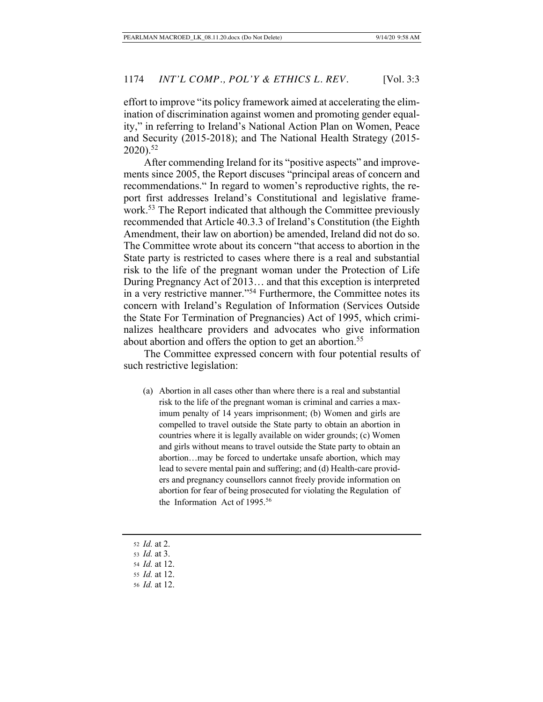effort to improve "its policy framework aimed at accelerating the elimination of discrimination against women and promoting gender equality," in referring to Ireland's National Action Plan on Women, Peace and Security (2015-2018); and The National Health Strategy (2015-  $2020$ ).<sup>52</sup>

After commending Ireland for its "positive aspects" and improvements since 2005, the Report discuses "principal areas of concern and recommendations." In regard to women's reproductive rights, the report first addresses Ireland's Constitutional and legislative framework.<sup>53</sup> The Report indicated that although the Committee previously recommended that Article 40.3.3 of Ireland's Constitution (the Eighth Amendment, their law on abortion) be amended, Ireland did not do so. The Committee wrote about its concern "that access to abortion in the State party is restricted to cases where there is a real and substantial risk to the life of the pregnant woman under the Protection of Life During Pregnancy Act of 2013… and that this exception is interpreted in a very restrictive manner."54 Furthermore, the Committee notes its concern with Ireland's Regulation of Information (Services Outside the State For Termination of Pregnancies) Act of 1995, which criminalizes healthcare providers and advocates who give information about abortion and offers the option to get an abortion.<sup>55</sup>

The Committee expressed concern with four potential results of such restrictive legislation:

- (a) Abortion in all cases other than where there is a real and substantial risk to the life of the pregnant woman is criminal and carries a maximum penalty of 14 years imprisonment; (b) Women and girls are compelled to travel outside the State party to obtain an abortion in countries where it is legally available on wider grounds; (c) Women and girls without means to travel outside the State party to obtain an abortion…may be forced to undertake unsafe abortion, which may lead to severe mental pain and suffering; and (d) Health-care providers and pregnancy counsellors cannot freely provide information on abortion for fear of being prosecuted for violating the Regulation of the Information Act of 1995.<sup>56</sup>
- <sup>52</sup> *Id.* at 2.
- <sup>53</sup> *Id.* at 3.

<sup>54</sup> *Id.* at 12.

<sup>55</sup> *Id.* at 12.

<sup>56</sup> *Id.* at 12.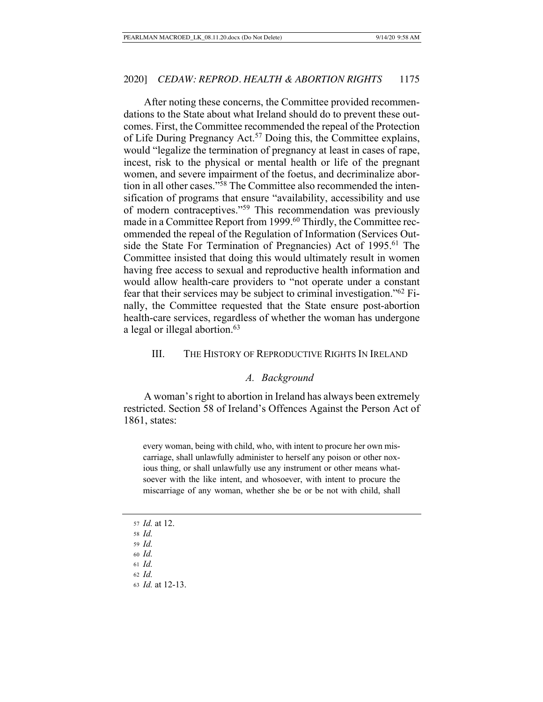After noting these concerns, the Committee provided recommendations to the State about what Ireland should do to prevent these outcomes. First, the Committee recommended the repeal of the Protection of Life During Pregnancy Act.<sup>57</sup> Doing this, the Committee explains, would "legalize the termination of pregnancy at least in cases of rape, incest, risk to the physical or mental health or life of the pregnant women, and severe impairment of the foetus, and decriminalize abortion in all other cases."58 The Committee also recommended the intensification of programs that ensure "availability, accessibility and use of modern contraceptives."59 This recommendation was previously made in a Committee Report from 1999.<sup>60</sup> Thirdly, the Committee recommended the repeal of the Regulation of Information (Services Outside the State For Termination of Pregnancies) Act of 1995.<sup>61</sup> The Committee insisted that doing this would ultimately result in women having free access to sexual and reproductive health information and would allow health-care providers to "not operate under a constant fear that their services may be subject to criminal investigation."62 Finally, the Committee requested that the State ensure post-abortion health-care services, regardless of whether the woman has undergone a legal or illegal abortion.<sup>63</sup>

### III. THE HISTORY OF REPRODUCTIVE RIGHTS IN IRELAND

#### *A. Background*

A woman's right to abortion in Ireland has always been extremely restricted. Section 58 of Ireland's Offences Against the Person Act of 1861, states:

every woman, being with child, who, with intent to procure her own miscarriage, shall unlawfully administer to herself any poison or other noxious thing, or shall unlawfully use any instrument or other means whatsoever with the like intent, and whosoever, with intent to procure the miscarriage of any woman, whether she be or be not with child, shall

- <sup>57</sup> *Id.* at 12.
- <sup>58</sup> *Id.*
- <sup>59</sup> *Id.*
- <sup>60</sup> *Id.*
- <sup>61</sup> *Id.*
- <sup>62</sup> *Id.*
- <sup>63</sup> *Id.* at 12-13.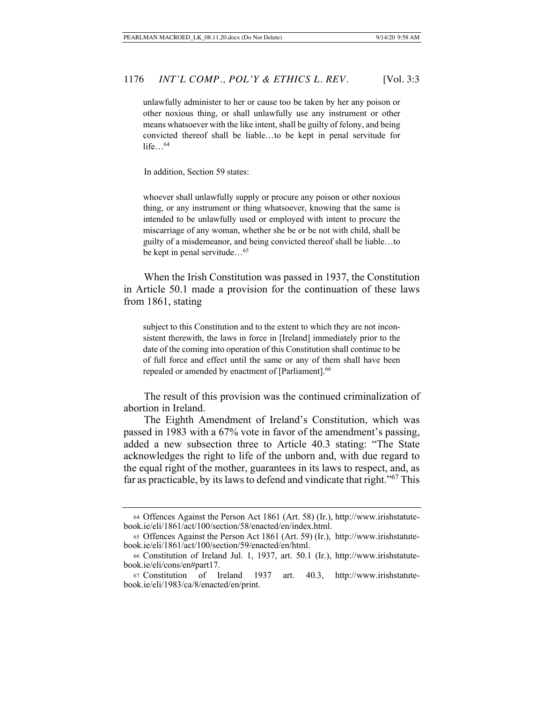unlawfully administer to her or cause too be taken by her any poison or other noxious thing, or shall unlawfully use any instrument or other means whatsoever with the like intent, shall be guilty of felony, and being convicted thereof shall be liable…to be kept in penal servitude for life $\ldots$ <sup>64</sup>

In addition, Section 59 states:

whoever shall unlawfully supply or procure any poison or other noxious thing, or any instrument or thing whatsoever, knowing that the same is intended to be unlawfully used or employed with intent to procure the miscarriage of any woman, whether she be or be not with child, shall be guilty of a misdemeanor, and being convicted thereof shall be liable…to be kept in penal servitude...<sup>65</sup>

When the Irish Constitution was passed in 1937, the Constitution in Article 50.1 made a provision for the continuation of these laws from 1861, stating

subject to this Constitution and to the extent to which they are not inconsistent therewith, the laws in force in [Ireland] immediately prior to the date of the coming into operation of this Constitution shall continue to be of full force and effect until the same or any of them shall have been repealed or amended by enactment of [Parliament].<sup>66</sup>

 The result of this provision was the continued criminalization of abortion in Ireland.

The Eighth Amendment of Ireland's Constitution, which was passed in 1983 with a 67% vote in favor of the amendment's passing, added a new subsection three to Article 40.3 stating: "The State acknowledges the right to life of the unborn and, with due regard to the equal right of the mother, guarantees in its laws to respect, and, as far as practicable, by its laws to defend and vindicate that right."67 This

<sup>64</sup> Offences Against the Person Act 1861 (Art. 58) (Ir.), http://www.irishstatutebook.ie/eli/1861/act/100/section/58/enacted/en/index.html.

<sup>65</sup> Offences Against the Person Act 1861 (Art. 59) (Ir.), http://www.irishstatutebook.ie/eli/1861/act/100/section/59/enacted/en/html.

<sup>66</sup> Constitution of Ireland Jul. 1, 1937, art. 50.1 (Ir.), http://www.irishstatutebook.ie/eli/cons/en#part17.

<sup>67</sup> Constitution of Ireland 1937 art. 40.3, http://www.irishstatutebook.ie/eli/1983/ca/8/enacted/en/print.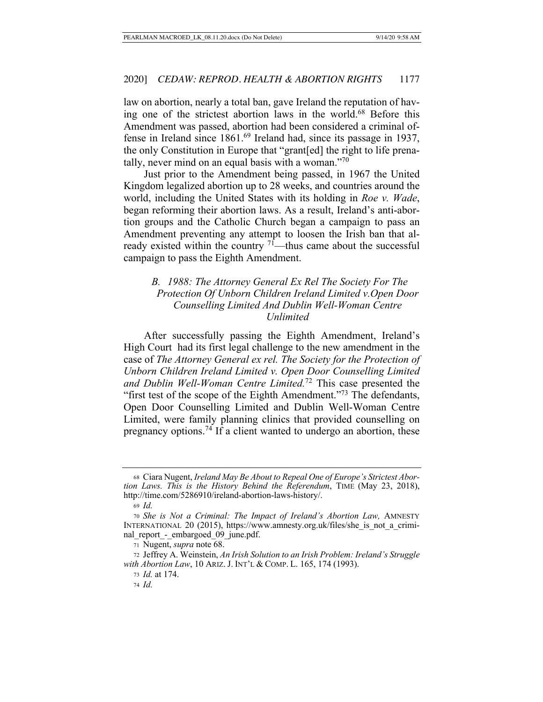law on abortion, nearly a total ban, gave Ireland the reputation of having one of the strictest abortion laws in the world.<sup>68</sup> Before this Amendment was passed, abortion had been considered a criminal offense in Ireland since 1861.69 Ireland had, since its passage in 1937, the only Constitution in Europe that "grant[ed] the right to life prenatally, never mind on an equal basis with a woman."<sup>70</sup>

Just prior to the Amendment being passed, in 1967 the United Kingdom legalized abortion up to 28 weeks, and countries around the world, including the United States with its holding in *Roe v. Wade*, began reforming their abortion laws. As a result, Ireland's anti-abortion groups and the Catholic Church began a campaign to pass an Amendment preventing any attempt to loosen the Irish ban that already existed within the country  $71$ —thus came about the successful campaign to pass the Eighth Amendment.

# *B. 1988: The Attorney General Ex Rel The Society For The Protection Of Unborn Children Ireland Limited v.Open Door Counselling Limited And Dublin Well-Woman Centre Unlimited*

After successfully passing the Eighth Amendment, Ireland's High Court had its first legal challenge to the new amendment in the case of *The Attorney General ex rel. The Society for the Protection of Unborn Children Ireland Limited v. Open Door Counselling Limited and Dublin Well-Woman Centre Limited.*72 This case presented the "first test of the scope of the Eighth Amendment."<sup>73</sup> The defendants, Open Door Counselling Limited and Dublin Well-Woman Centre Limited, were family planning clinics that provided counselling on pregnancy options.74 If a client wanted to undergo an abortion, these

<sup>68</sup> Ciara Nugent, *Ireland May Be About to Repeal One of Europe's Strictest Abortion Laws. This is the History Behind the Referendum*, TIME (May 23, 2018), http://time.com/5286910/ireland-abortion-laws-history/.

<sup>69</sup> *Id.*

<sup>70</sup> *She is Not a Criminal: The Impact of Ireland's Abortion Law,* AMNESTY INTERNATIONAL 20 (2015), https://www.amnesty.org.uk/files/she\_is\_not\_a\_criminal\_report\_-\_embargoed\_09\_june.pdf.

<sup>71</sup> Nugent, *supra* note 68.

<sup>72</sup> Jeffrey A. Weinstein, *An Irish Solution to an Irish Problem: Ireland's Struggle with Abortion Law*, 10 ARIZ. J. INT'L & COMP. L. 165, 174 (1993).

<sup>73</sup> *Id.* at 174.

<sup>74</sup> *Id.*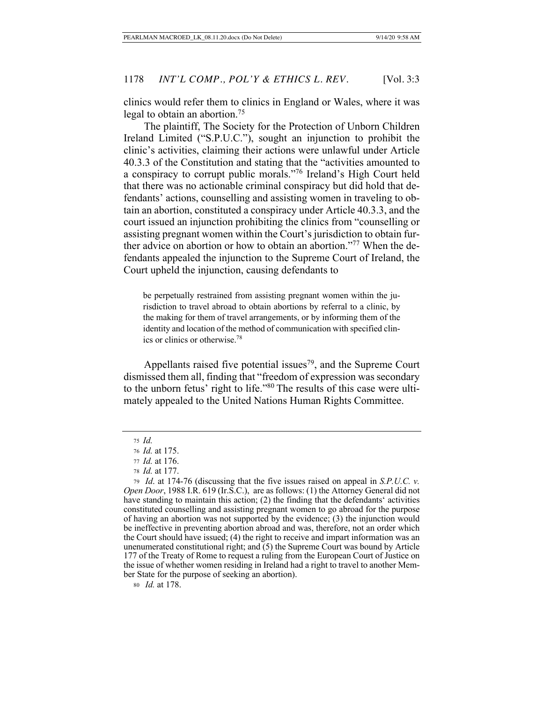clinics would refer them to clinics in England or Wales, where it was legal to obtain an abortion.75

The plaintiff, The Society for the Protection of Unborn Children Ireland Limited ("S.P.U.C."), sought an injunction to prohibit the clinic's activities, claiming their actions were unlawful under Article 40.3.3 of the Constitution and stating that the "activities amounted to a conspiracy to corrupt public morals."76 Ireland's High Court held that there was no actionable criminal conspiracy but did hold that defendants' actions, counselling and assisting women in traveling to obtain an abortion, constituted a conspiracy under Article 40.3.3, and the court issued an injunction prohibiting the clinics from "counselling or assisting pregnant women within the Court's jurisdiction to obtain further advice on abortion or how to obtain an abortion."77 When the defendants appealed the injunction to the Supreme Court of Ireland, the Court upheld the injunction, causing defendants to

be perpetually restrained from assisting pregnant women within the jurisdiction to travel abroad to obtain abortions by referral to a clinic, by the making for them of travel arrangements, or by informing them of the identity and location of the method of communication with specified clinics or clinics or otherwise.78

Appellants raised five potential issues<sup>79</sup>, and the Supreme Court dismissed them all, finding that "freedom of expression was secondary to the unborn fetus' right to life."80 The results of this case were ultimately appealed to the United Nations Human Rights Committee.

<sup>75</sup> *Id.*

<sup>76</sup> *Id.* at 175.

<sup>77</sup> *Id.* at 176.

<sup>78</sup> *Id.* at 177.

<sup>79</sup> *Id*. at 174-76 (discussing that the five issues raised on appeal in *S.P.U.C. v. Open Door*, 1988 I.R. 619 (Ir.S.C.), are as follows: (1) the Attorney General did not have standing to maintain this action; (2) the finding that the defendants' activities constituted counselling and assisting pregnant women to go abroad for the purpose of having an abortion was not supported by the evidence; (3) the injunction would be ineffective in preventing abortion abroad and was, therefore, not an order which the Court should have issued; (4) the right to receive and impart information was an unenumerated constitutional right; and  $(5)$  the Supreme Court was bound by Article 177 of the Treaty of Rome to request a ruling from the European Court of Justice on the issue of whether women residing in Ireland had a right to travel to another Member State for the purpose of seeking an abortion).

<sup>80</sup> *Id.* at 178.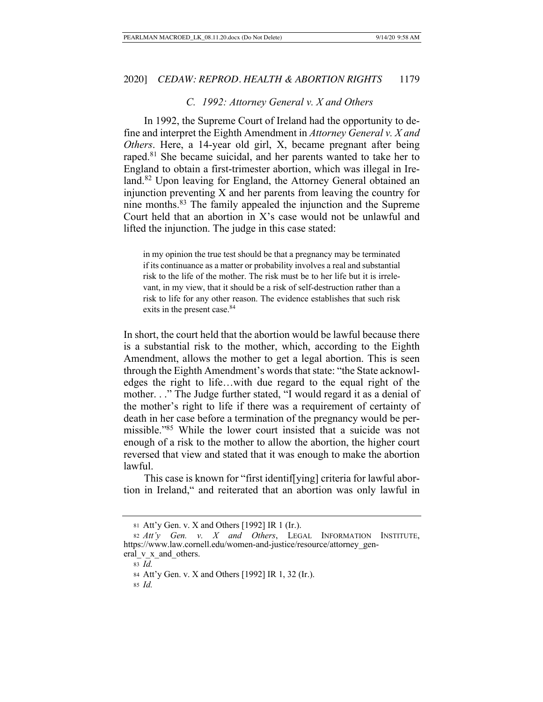### *C. 1992: Attorney General v. X and Others*

In 1992, the Supreme Court of Ireland had the opportunity to define and interpret the Eighth Amendment in *Attorney General v. X and Others*. Here, a 14-year old girl, X, became pregnant after being raped.<sup>81</sup> She became suicidal, and her parents wanted to take her to England to obtain a first-trimester abortion, which was illegal in Ireland.82 Upon leaving for England, the Attorney General obtained an injunction preventing X and her parents from leaving the country for nine months.83 The family appealed the injunction and the Supreme Court held that an abortion in X's case would not be unlawful and lifted the injunction. The judge in this case stated:

in my opinion the true test should be that a pregnancy may be terminated if its continuance as a matter or probability involves a real and substantial risk to the life of the mother. The risk must be to her life but it is irrelevant, in my view, that it should be a risk of self-destruction rather than a risk to life for any other reason. The evidence establishes that such risk exits in the present case.<sup>84</sup>

In short, the court held that the abortion would be lawful because there is a substantial risk to the mother, which, according to the Eighth Amendment, allows the mother to get a legal abortion. This is seen through the Eighth Amendment's words that state: "the State acknowledges the right to life…with due regard to the equal right of the mother. . ." The Judge further stated, "I would regard it as a denial of the mother's right to life if there was a requirement of certainty of death in her case before a termination of the pregnancy would be permissible."85 While the lower court insisted that a suicide was not enough of a risk to the mother to allow the abortion, the higher court reversed that view and stated that it was enough to make the abortion lawful.

This case is known for "first identif[ying] criteria for lawful abortion in Ireland," and reiterated that an abortion was only lawful in

<sup>85</sup> *Id.*

<sup>81</sup> Att'y Gen. v. X and Others [1992] IR 1 (Ir.).

<sup>82</sup> *Att'y Gen. v. X and Others*, LEGAL INFORMATION INSTITUTE, https://www.law.cornell.edu/women-and-justice/resource/attorney\_gen-

eral v x and others.

<sup>83</sup> *Id.*

<sup>84</sup> Att'y Gen. v. X and Others [1992] IR 1, 32 (Ir.).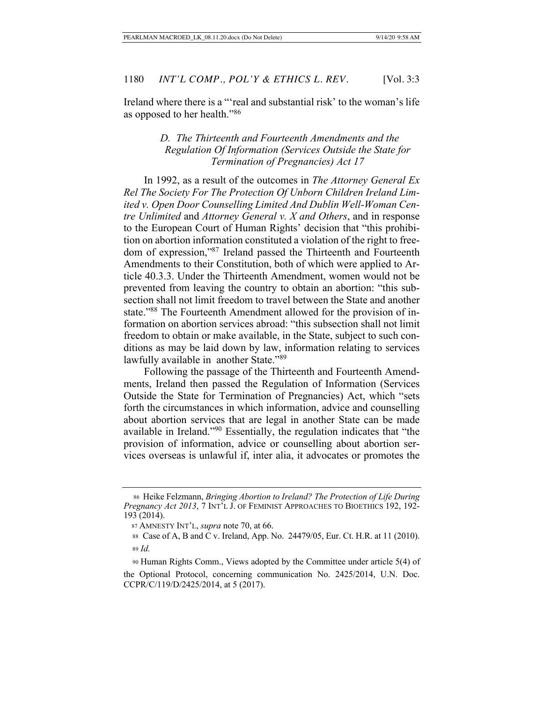Ireland where there is a "'real and substantial risk' to the woman's life as opposed to her health."86

# *D. The Thirteenth and Fourteenth Amendments and the Regulation Of Information (Services Outside the State for Termination of Pregnancies) Act 17*

In 1992, as a result of the outcomes in *The Attorney General Ex Rel The Society For The Protection Of Unborn Children Ireland Limited v. Open Door Counselling Limited And Dublin Well-Woman Centre Unlimited* and *Attorney General v. X and Others*, and in response to the European Court of Human Rights' decision that "this prohibition on abortion information constituted a violation of the right to freedom of expression,"87 Ireland passed the Thirteenth and Fourteenth Amendments to their Constitution, both of which were applied to Article 40.3.3. Under the Thirteenth Amendment, women would not be prevented from leaving the country to obtain an abortion: "this subsection shall not limit freedom to travel between the State and another state."88 The Fourteenth Amendment allowed for the provision of information on abortion services abroad: "this subsection shall not limit freedom to obtain or make available, in the State, subject to such conditions as may be laid down by law, information relating to services lawfully available in another State."89

Following the passage of the Thirteenth and Fourteenth Amendments, Ireland then passed the Regulation of Information (Services Outside the State for Termination of Pregnancies) Act, which "sets forth the circumstances in which information, advice and counselling about abortion services that are legal in another State can be made available in Ireland."90 Essentially, the regulation indicates that "the provision of information, advice or counselling about abortion services overseas is unlawful if, inter alia, it advocates or promotes the

<sup>86</sup> Heike Felzmann, *Bringing Abortion to Ireland? The Protection of Life During Pregnancy Act 2013*, 7 INT'L J. OF FEMINIST APPROACHES TO BIOETHICS 192, 192- 193 (2014).

<sup>87</sup> AMNESTY INT'L, *supra* note 70, at 66.

 <sup>88</sup> Case of A, B and C v. Ireland, App. No. 24479/05, Eur. Ct. H.R. at 11 (2010). <sup>89</sup> *Id.*

 <sup>90</sup> Human Rights Comm., Views adopted by the Committee under article 5(4) of the Optional Protocol, concerning communication No. 2425/2014, U.N. Doc. CCPR/C/119/D/2425/2014, at 5 (2017).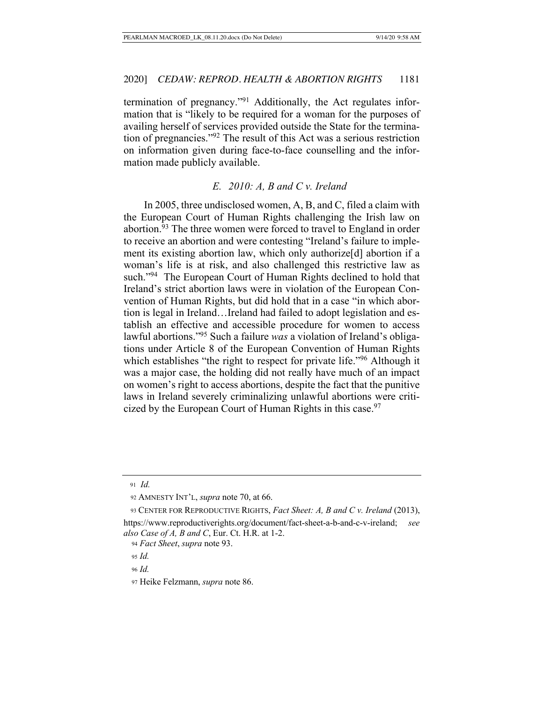termination of pregnancy."91 Additionally, the Act regulates information that is "likely to be required for a woman for the purposes of availing herself of services provided outside the State for the termination of pregnancies."92 The result of this Act was a serious restriction on information given during face-to-face counselling and the information made publicly available.

### *E. 2010: A, B and C v. Ireland*

In 2005, three undisclosed women, A, B, and C, filed a claim with the European Court of Human Rights challenging the Irish law on abortion.<sup>93</sup> The three women were forced to travel to England in order to receive an abortion and were contesting "Ireland's failure to implement its existing abortion law, which only authorize[d] abortion if a woman's life is at risk, and also challenged this restrictive law as such."94 The European Court of Human Rights declined to hold that Ireland's strict abortion laws were in violation of the European Convention of Human Rights, but did hold that in a case "in which abortion is legal in Ireland…Ireland had failed to adopt legislation and establish an effective and accessible procedure for women to access lawful abortions."95 Such a failure *was* a violation of Ireland's obligations under Article 8 of the European Convention of Human Rights which establishes "the right to respect for private life."<sup>96</sup> Although it was a major case, the holding did not really have much of an impact on women's right to access abortions, despite the fact that the punitive laws in Ireland severely criminalizing unlawful abortions were criticized by the European Court of Human Rights in this case.<sup>97</sup>

<sup>91</sup> *Id.*

 <sup>92</sup> AMNESTY INT'L, *supra* note 70, at 66.

 <sup>93</sup> CENTER FOR REPRODUCTIVE RIGHTS, *Fact Sheet: A, B and C v. Ireland* (2013), https://www.reproductiverights.org/document/fact-sheet-a-b-and-c-v-ireland; *see also Case of A, B and C*, Eur. Ct. H.R. at 1-2.

<sup>94</sup> *Fact Sheet*, *supra* note 93.

<sup>95</sup> *Id.* 

<sup>96</sup> *Id.*

<sup>97</sup> Heike Felzmann, *supra* note 86.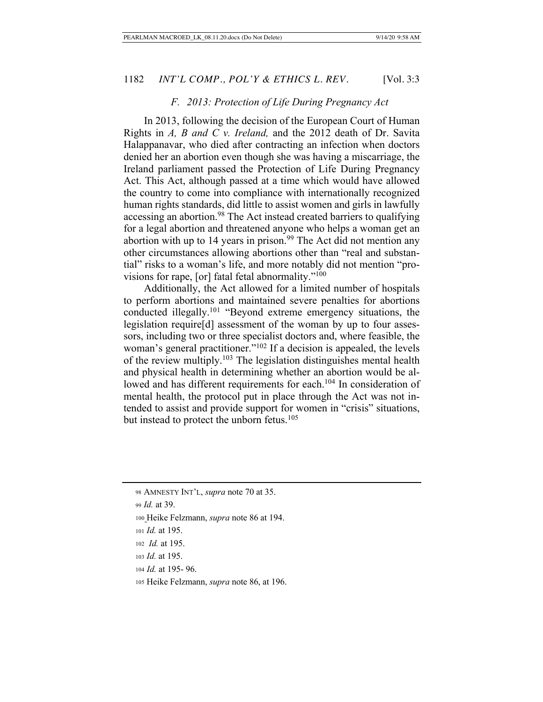### *F. 2013: Protection of Life During Pregnancy Act*

In 2013, following the decision of the European Court of Human Rights in *A, B and C v. Ireland,* and the 2012 death of Dr. Savita Halappanavar, who died after contracting an infection when doctors denied her an abortion even though she was having a miscarriage, the Ireland parliament passed the Protection of Life During Pregnancy Act. This Act, although passed at a time which would have allowed the country to come into compliance with internationally recognized human rights standards, did little to assist women and girls in lawfully accessing an abortion.<sup>98</sup> The Act instead created barriers to qualifying for a legal abortion and threatened anyone who helps a woman get an abortion with up to 14 years in prison.<sup>99</sup> The Act did not mention any other circumstances allowing abortions other than "real and substantial" risks to a woman's life, and more notably did not mention "provisions for rape, [or] fatal fetal abnormality."<sup>100</sup>

Additionally, the Act allowed for a limited number of hospitals to perform abortions and maintained severe penalties for abortions conducted illegally.101 "Beyond extreme emergency situations, the legislation require[d] assessment of the woman by up to four assessors, including two or three specialist doctors and, where feasible, the woman's general practitioner."<sup>102</sup> If a decision is appealed, the levels of the review multiply.<sup>103</sup> The legislation distinguishes mental health and physical health in determining whether an abortion would be allowed and has different requirements for each.<sup>104</sup> In consideration of mental health, the protocol put in place through the Act was not intended to assist and provide support for women in "crisis" situations, but instead to protect the unborn fetus.<sup>105</sup>

<sup>98</sup> AMNESTY INT'L, *supra* note 70 at 35.

<sup>99</sup> *Id.* at 39.

<sup>100</sup> Heike Felzmann, *supra* note 86 at 194.

<sup>101</sup> *Id.* at 195.

<sup>102</sup> *Id.* at 195.

<sup>103</sup> *Id.* at 195.

<sup>104</sup> *Id.* at 195- 96.

<sup>105</sup> Heike Felzmann, *supra* note 86, at 196.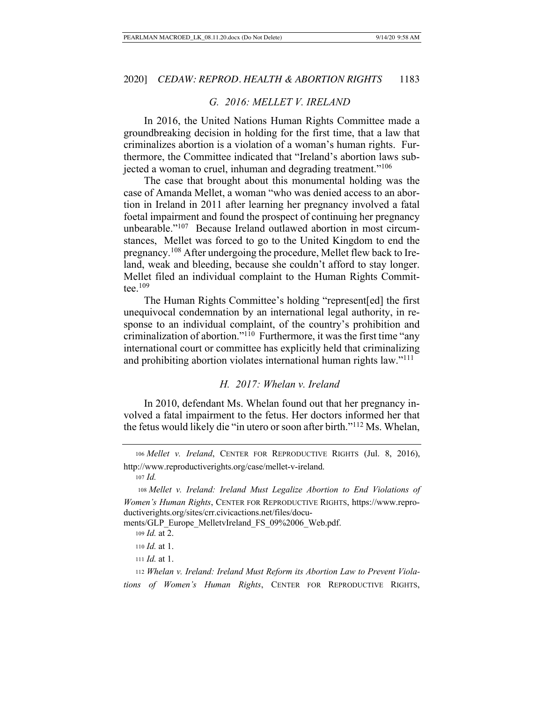### *G. 2016: MELLET V. IRELAND*

In 2016, the United Nations Human Rights Committee made a groundbreaking decision in holding for the first time, that a law that criminalizes abortion is a violation of a woman's human rights. Furthermore, the Committee indicated that "Ireland's abortion laws subjected a woman to cruel, inhuman and degrading treatment."106

The case that brought about this monumental holding was the case of Amanda Mellet, a woman "who was denied access to an abortion in Ireland in 2011 after learning her pregnancy involved a fatal foetal impairment and found the prospect of continuing her pregnancy unbearable."107 Because Ireland outlawed abortion in most circumstances, Mellet was forced to go to the United Kingdom to end the pregnancy.108 After undergoing the procedure, Mellet flew back to Ireland, weak and bleeding, because she couldn't afford to stay longer. Mellet filed an individual complaint to the Human Rights Committee. $109$ 

The Human Rights Committee's holding "represent[ed] the first unequivocal condemnation by an international legal authority, in response to an individual complaint, of the country's prohibition and criminalization of abortion."110 Furthermore, it was the first time "any international court or committee has explicitly held that criminalizing and prohibiting abortion violates international human rights law."111

#### *H. 2017: Whelan v. Ireland*

In 2010, defendant Ms. Whelan found out that her pregnancy involved a fatal impairment to the fetus. Her doctors informed her that the fetus would likely die "in utero or soon after birth."112 Ms. Whelan,

<sup>107</sup> *Id.*

ments/GLP\_Europe\_MelletvIreland\_FS\_09%2006\_Web.pdf.

<sup>106</sup> *Mellet v. Ireland*, CENTER FOR REPRODUCTIVE RIGHTS (Jul. 8, 2016), http://www.reproductiverights.org/case/mellet-v-ireland.

<sup>108</sup> *Mellet v. Ireland: Ireland Must Legalize Abortion to End Violations of Women's Human Rights*, CENTER FOR REPRODUCTIVE RIGHTS, https://www.reproductiverights.org/sites/crr.civicactions.net/files/docu-

<sup>109</sup> *Id.* at 2.

<sup>110</sup> *Id.* at 1.

<sup>111</sup> *Id.* at 1.

<sup>112</sup> *Whelan v. Ireland: Ireland Must Reform its Abortion Law to Prevent Violations of Women's Human Rights*, CENTER FOR REPRODUCTIVE RIGHTS,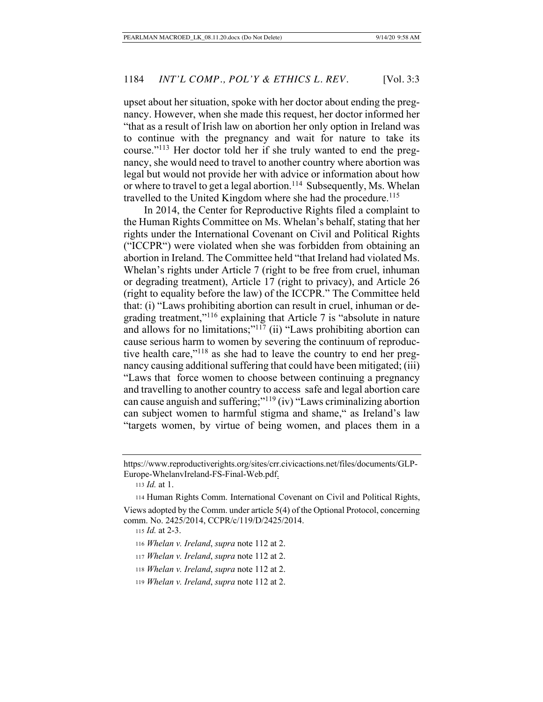upset about her situation, spoke with her doctor about ending the pregnancy. However, when she made this request, her doctor informed her "that as a result of Irish law on abortion her only option in Ireland was to continue with the pregnancy and wait for nature to take its course."113 Her doctor told her if she truly wanted to end the pregnancy, she would need to travel to another country where abortion was legal but would not provide her with advice or information about how or where to travel to get a legal abortion.<sup>114</sup> Subsequently, Ms. Whelan travelled to the United Kingdom where she had the procedure.<sup>115</sup>

In 2014, the Center for Reproductive Rights filed a complaint to the Human Rights Committee on Ms. Whelan's behalf, stating that her rights under the International Covenant on Civil and Political Rights ("ICCPR") were violated when she was forbidden from obtaining an abortion in Ireland. The Committee held "that Ireland had violated Ms. Whelan's rights under Article 7 (right to be free from cruel, inhuman or degrading treatment), Article 17 (right to privacy), and Article 26 (right to equality before the law) of the ICCPR." The Committee held that: (i) "Laws prohibiting abortion can result in cruel, inhuman or degrading treatment,"116 explaining that Article 7 is "absolute in nature and allows for no limitations;"<sup>117</sup> (ii) "Laws prohibiting abortion can cause serious harm to women by severing the continuum of reproductive health care,"<sup>118</sup> as she had to leave the country to end her pregnancy causing additional suffering that could have been mitigated; (iii) "Laws that force women to choose between continuing a pregnancy and travelling to another country to access safe and legal abortion care can cause anguish and suffering;"119 (iv) "Laws criminalizing abortion can subject women to harmful stigma and shame," as Ireland's law "targets women, by virtue of being women, and places them in a

- <sup>118</sup> *Whelan v. Ireland*, *supra* note 112 at 2.
- <sup>119</sup> *Whelan v. Ireland*, *supra* note 112 at 2.

https://www.reproductiverights.org/sites/crr.civicactions.net/files/documents/GLP-Europe-WhelanvIreland-FS-Final-Web.pdf.

<sup>113</sup> *Id.* at 1.

<sup>114</sup> Human Rights Comm. International Covenant on Civil and Political Rights, Views adopted by the Comm. under article 5(4) of the Optional Protocol, concerning

comm. No. 2425/2014, CCPR/c/119/D/2425/2014.

<sup>115</sup> *Id.* at 2-3.

<sup>116</sup> *Whelan v. Ireland*, *supra* note 112 at 2.

<sup>117</sup> *Whelan v. Ireland*, *supra* note 112 at 2.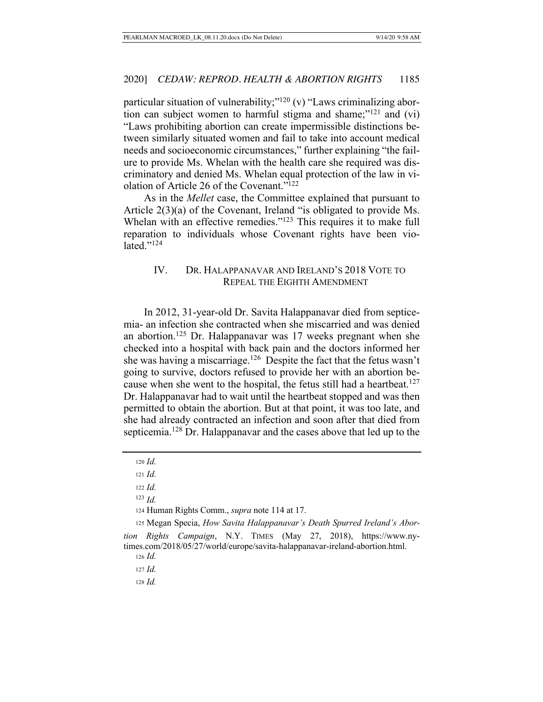particular situation of vulnerability;"<sup>120</sup> (v) "Laws criminalizing abortion can subject women to harmful stigma and shame;"121 and (vi) "Laws prohibiting abortion can create impermissible distinctions between similarly situated women and fail to take into account medical needs and socioeconomic circumstances," further explaining "the failure to provide Ms. Whelan with the health care she required was discriminatory and denied Ms. Whelan equal protection of the law in violation of Article 26 of the Covenant."122

As in the *Mellet* case, the Committee explained that pursuant to Article 2(3)(a) of the Covenant, Ireland "is obligated to provide Ms. Whelan with an effective remedies."<sup>123</sup> This requires it to make full reparation to individuals whose Covenant rights have been violated." $^{124}$ 

# IV. DR. HALAPPANAVAR AND IRELAND'S 2018 VOTE TO REPEAL THE EIGHTH AMENDMENT

In 2012, 31-year-old Dr. Savita Halappanavar died from septicemia- an infection she contracted when she miscarried and was denied an abortion.<sup>125</sup> Dr. Halappanavar was 17 weeks pregnant when she checked into a hospital with back pain and the doctors informed her she was having a miscarriage.<sup>126</sup> Despite the fact that the fetus wasn't going to survive, doctors refused to provide her with an abortion because when she went to the hospital, the fetus still had a heartbeat.<sup>127</sup> Dr. Halappanavar had to wait until the heartbeat stopped and was then permitted to obtain the abortion. But at that point, it was too late, and she had already contracted an infection and soon after that died from septicemia.128 Dr. Halappanavar and the cases above that led up to the

<sup>120</sup> *Id.*

<sup>121</sup> *Id.*

<sup>122</sup> *Id.*

<sup>123</sup> *Id.*

<sup>124</sup> Human Rights Comm., *supra* note 114 at 17.

<sup>125</sup> Megan Specia, *How Savita Halappanavar's Death Spurred Ireland's Abor-*

*tion Rights Campaign*, N.Y. TIMES (May 27, 2018), https://www.nytimes.com/2018/05/27/world/europe/savita-halappanavar-ireland-abortion.html.

<sup>126</sup> *Id.* 

<sup>127</sup> *Id.* 

<sup>128</sup> *Id.*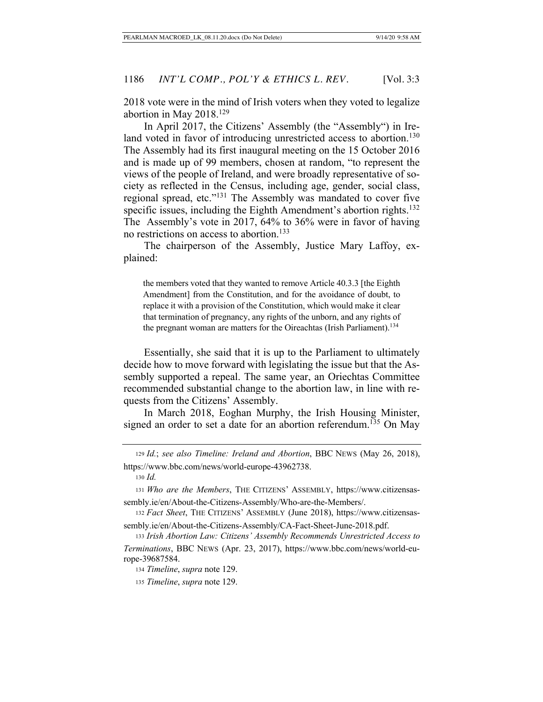2018 vote were in the mind of Irish voters when they voted to legalize abortion in May  $2018.<sup>129</sup>$ 

In April 2017, the Citizens' Assembly (the "Assembly") in Ireland voted in favor of introducing unrestricted access to abortion.<sup>130</sup> The Assembly had its first inaugural meeting on the 15 October 2016 and is made up of 99 members, chosen at random, "to represent the views of the people of Ireland, and were broadly representative of society as reflected in the Census, including age, gender, social class, regional spread, etc."131 The Assembly was mandated to cover five specific issues, including the Eighth Amendment's abortion rights.<sup>132</sup> The Assembly's vote in 2017, 64% to 36% were in favor of having no restrictions on access to abortion.<sup>133</sup>

The chairperson of the Assembly, Justice Mary Laffoy, explained:

the members voted that they wanted to remove Article 40.3.3 [the Eighth Amendment] from the Constitution, and for the avoidance of doubt, to replace it with a provision of the Constitution, which would make it clear that termination of pregnancy, any rights of the unborn, and any rights of the pregnant woman are matters for the Oireachtas (Irish Parliament).<sup>134</sup>

Essentially, she said that it is up to the Parliament to ultimately decide how to move forward with legislating the issue but that the Assembly supported a repeal. The same year, an Oriechtas Committee recommended substantial change to the abortion law, in line with requests from the Citizens' Assembly.

In March 2018, Eoghan Murphy, the Irish Housing Minister, signed an order to set a date for an abortion referendum.<sup>135</sup> On May

<sup>129</sup> *Id.*; *see also Timeline: Ireland and Abortion*, BBC NEWS (May 26, 2018), https://www.bbc.com/news/world-europe-43962738.

<sup>130</sup> *Id.* 

<sup>134</sup> *Timeline*, *supra* note 129.

<sup>131</sup> *Who are the Members*, THE CITIZENS' ASSEMBLY, https://www.citizensassembly.ie/en/About-the-Citizens-Assembly/Who-are-the-Members/.

<sup>132</sup> *Fact Sheet*, THE CITIZENS' ASSEMBLY (June 2018), https://www.citizensassembly.ie/en/About-the-Citizens-Assembly/CA-Fact-Sheet-June-2018.pdf.

<sup>133</sup> *Irish Abortion Law: Citizens' Assembly Recommends Unrestricted Access to Terminations*, BBC NEWS (Apr. 23, 2017), https://www.bbc.com/news/world-europe-39687584.

<sup>135</sup> *Timeline*, *supra* note 129.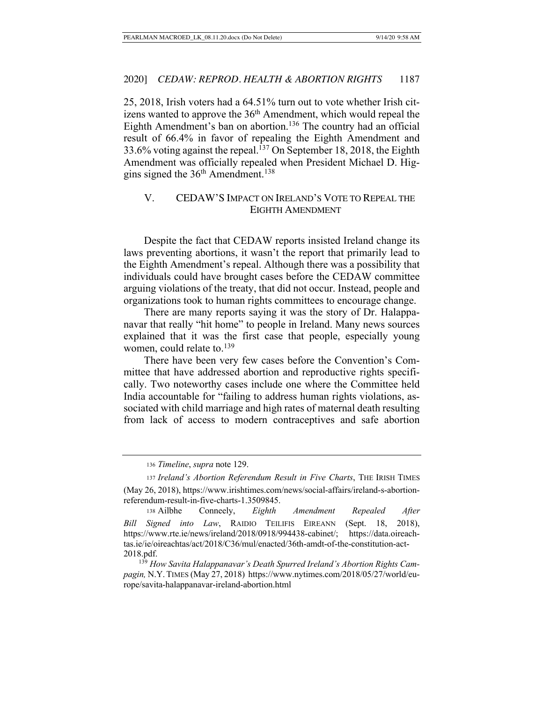25, 2018, Irish voters had a 64.51% turn out to vote whether Irish citizens wanted to approve the  $36<sup>th</sup>$  Amendment, which would repeal the Eighth Amendment's ban on abortion.<sup>136</sup> The country had an official result of 66.4% in favor of repealing the Eighth Amendment and 33.6% voting against the repeal.<sup>137</sup> On September 18, 2018, the Eighth Amendment was officially repealed when President Michael D. Higgins signed the  $36<sup>th</sup>$  Amendment.<sup>138</sup>

# V. CEDAW'S IMPACT ON IRELAND'S VOTE TO REPEAL THE EIGHTH AMENDMENT

Despite the fact that CEDAW reports insisted Ireland change its laws preventing abortions, it wasn't the report that primarily lead to the Eighth Amendment's repeal. Although there was a possibility that individuals could have brought cases before the CEDAW committee arguing violations of the treaty, that did not occur. Instead, people and organizations took to human rights committees to encourage change.

There are many reports saying it was the story of Dr. Halappanavar that really "hit home" to people in Ireland. Many news sources explained that it was the first case that people, especially young women, could relate to.<sup>139</sup>

There have been very few cases before the Convention's Committee that have addressed abortion and reproductive rights specifically. Two noteworthy cases include one where the Committee held India accountable for "failing to address human rights violations, associated with child marriage and high rates of maternal death resulting from lack of access to modern contraceptives and safe abortion

 139 *How Savita Halappanavar's Death Spurred Ireland's Abortion Rights Campagin,* N.Y.TIMES (May 27, 2018) https://www.nytimes.com/2018/05/27/world/europe/savita-halappanavar-ireland-abortion.html

<sup>136</sup> *Timeline*, *supra* note 129.

<sup>137</sup> *Ireland's Abortion Referendum Result in Five Charts*, THE IRISH TIMES (May 26, 2018), https://www.irishtimes.com/news/social-affairs/ireland-s-abortionreferendum-result-in-five-charts-1.3509845.

<sup>138</sup> Ailbhe Conneely, *Eighth Amendment Repealed After Bill Signed into Law*, RAIDIO TEILIFIS EIREANN (Sept. 18, 2018), https://www.rte.ie/news/ireland/2018/0918/994438-cabinet/; https://data.oireachtas.ie/ie/oireachtas/act/2018/C36/mul/enacted/36th-amdt-of-the-constitution-act-2018.pdf.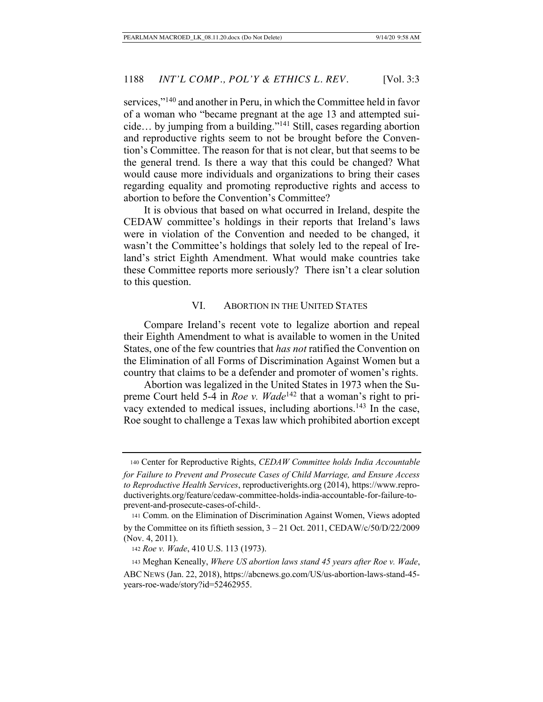services,"<sup>140</sup> and another in Peru, in which the Committee held in favor of a woman who "became pregnant at the age 13 and attempted suicide… by jumping from a building."141 Still, cases regarding abortion and reproductive rights seem to not be brought before the Convention's Committee. The reason for that is not clear, but that seems to be the general trend. Is there a way that this could be changed? What would cause more individuals and organizations to bring their cases regarding equality and promoting reproductive rights and access to abortion to before the Convention's Committee?

It is obvious that based on what occurred in Ireland, despite the CEDAW committee's holdings in their reports that Ireland's laws were in violation of the Convention and needed to be changed, it wasn't the Committee's holdings that solely led to the repeal of Ireland's strict Eighth Amendment. What would make countries take these Committee reports more seriously? There isn't a clear solution to this question.

### VI. ABORTION IN THE UNITED STATES

Compare Ireland's recent vote to legalize abortion and repeal their Eighth Amendment to what is available to women in the United States, one of the few countries that *has not* ratified the Convention on the Elimination of all Forms of Discrimination Against Women but a country that claims to be a defender and promoter of women's rights.

Abortion was legalized in the United States in 1973 when the Supreme Court held 5-4 in *Roe v. Wade*<sup>142</sup> that a woman's right to privacy extended to medical issues, including abortions.<sup>143</sup> In the case, Roe sought to challenge a Texas law which prohibited abortion except

 <sup>140</sup> Center for Reproductive Rights, *CEDAW Committee holds India Accountable for Failure to Prevent and Prosecute Cases of Child Marriage, and Ensure Access to Reproductive Health Services*, reproductiverights.org (2014), https://www.reproductiverights.org/feature/cedaw-committee-holds-india-accountable-for-failure-toprevent-and-prosecute-cases-of-child-.

<sup>141</sup> Comm. on the Elimination of Discrimination Against Women, Views adopted by the Committee on its fiftieth session, 3 – 21 Oct. 2011, CEDAW/c/50/D/22/2009 (Nov. 4, 2011).

<sup>142</sup> *Roe v. Wade*, 410 U.S. 113 (1973).

<sup>143</sup> Meghan Keneally, *Where US abortion laws stand 45 years after Roe v. Wade*, ABC NEWS (Jan. 22, 2018), https://abcnews.go.com/US/us-abortion-laws-stand-45 years-roe-wade/story?id=52462955.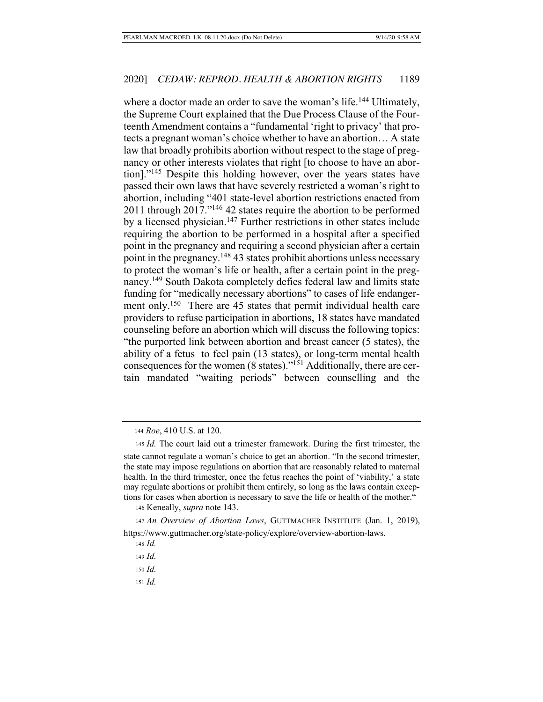where a doctor made an order to save the woman's life.<sup>144</sup> Ultimately, the Supreme Court explained that the Due Process Clause of the Fourteenth Amendment contains a "fundamental 'right to privacy' that protects a pregnant woman's choice whether to have an abortion… A state law that broadly prohibits abortion without respect to the stage of pregnancy or other interests violates that right [to choose to have an abortion]."145 Despite this holding however, over the years states have passed their own laws that have severely restricted a woman's right to abortion, including "401 state-level abortion restrictions enacted from 2011 through 2017."146 42 states require the abortion to be performed by a licensed physician.147 Further restrictions in other states include requiring the abortion to be performed in a hospital after a specified point in the pregnancy and requiring a second physician after a certain point in the pregnancy.148 43 states prohibit abortions unless necessary to protect the woman's life or health, after a certain point in the pregnancy.149 South Dakota completely defies federal law and limits state funding for "medically necessary abortions" to cases of life endangerment only.<sup>150</sup> There are 45 states that permit individual health care providers to refuse participation in abortions, 18 states have mandated counseling before an abortion which will discuss the following topics: "the purported link between abortion and breast cancer (5 states), the ability of a fetus to feel pain (13 states), or long-term mental health consequences for the women (8 states)."151 Additionally, there are certain mandated "waiting periods" between counselling and the

<sup>146</sup> Keneally, *supra* note 143.

<sup>147</sup> *An Overview of Abortion Laws*, GUTTMACHER INSTITUTE (Jan. 1, 2019), https://www.guttmacher.org/state-policy/explore/overview-abortion-laws.

- <sup>150</sup> *Id.*
- <sup>151</sup> *Id.*

<sup>144</sup> *Roe*, 410 U.S. at 120.

<sup>145</sup> *Id.* The court laid out a trimester framework. During the first trimester, the state cannot regulate a woman's choice to get an abortion. "In the second trimester, the state may impose regulations on abortion that are reasonably related to maternal health. In the third trimester, once the fetus reaches the point of 'viability,' a state may regulate abortions or prohibit them entirely, so long as the laws contain exceptions for cases when abortion is necessary to save the life or health of the mother."

<sup>148</sup> *Id.* 

<sup>149</sup> *Id.*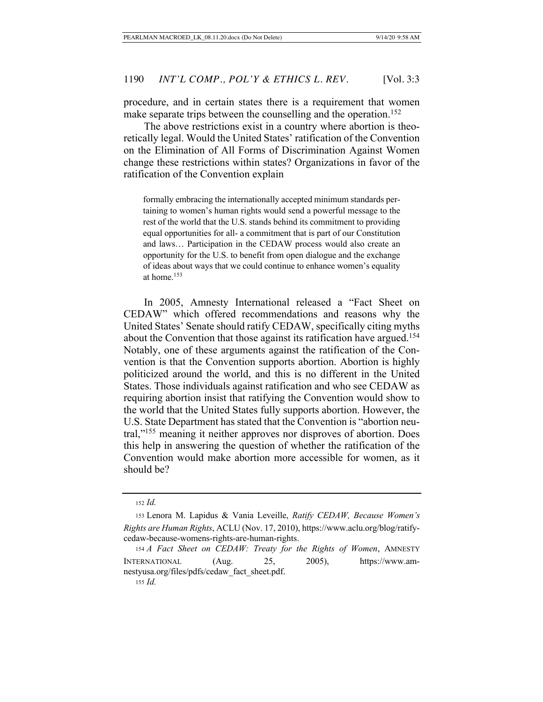procedure, and in certain states there is a requirement that women make separate trips between the counselling and the operation.<sup>152</sup>

The above restrictions exist in a country where abortion is theoretically legal. Would the United States' ratification of the Convention on the Elimination of All Forms of Discrimination Against Women change these restrictions within states? Organizations in favor of the ratification of the Convention explain

formally embracing the internationally accepted minimum standards pertaining to women's human rights would send a powerful message to the rest of the world that the U.S. stands behind its commitment to providing equal opportunities for all- a commitment that is part of our Constitution and laws… Participation in the CEDAW process would also create an opportunity for the U.S. to benefit from open dialogue and the exchange of ideas about ways that we could continue to enhance women's equality at home.153

In 2005, Amnesty International released a "Fact Sheet on CEDAW" which offered recommendations and reasons why the United States' Senate should ratify CEDAW, specifically citing myths about the Convention that those against its ratification have argued.<sup>154</sup> Notably, one of these arguments against the ratification of the Convention is that the Convention supports abortion. Abortion is highly politicized around the world, and this is no different in the United States. Those individuals against ratification and who see CEDAW as requiring abortion insist that ratifying the Convention would show to the world that the United States fully supports abortion. However, the U.S. State Department has stated that the Convention is "abortion neutral,"155 meaning it neither approves nor disproves of abortion. Does this help in answering the question of whether the ratification of the Convention would make abortion more accessible for women, as it should be?

<sup>152</sup> *Id.* 

<sup>153</sup> Lenora M. Lapidus & Vania Leveille, *Ratify CEDAW, Because Women's Rights are Human Rights*, ACLU (Nov. 17, 2010), https://www.aclu.org/blog/ratifycedaw-because-womens-rights-are-human-rights.

<sup>154</sup> *A Fact Sheet on CEDAW: Treaty for the Rights of Women*, AMNESTY INTERNATIONAL (Aug. 25, 2005), https://www.amnestyusa.org/files/pdfs/cedaw\_fact\_sheet.pdf. <sup>155</sup> *Id.*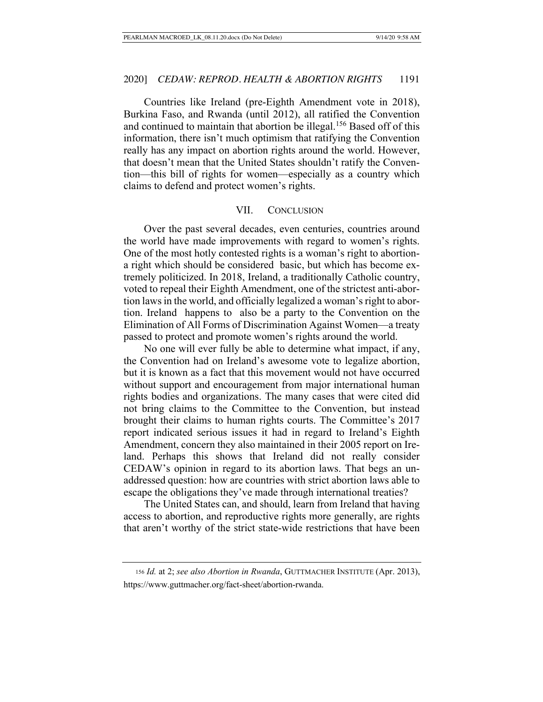Countries like Ireland (pre-Eighth Amendment vote in 2018), Burkina Faso, and Rwanda (until 2012), all ratified the Convention and continued to maintain that abortion be illegal.<sup>156</sup> Based off of this information, there isn't much optimism that ratifying the Convention really has any impact on abortion rights around the world. However, that doesn't mean that the United States shouldn't ratify the Convention—this bill of rights for women—especially as a country which claims to defend and protect women's rights.

#### VII. CONCLUSION

Over the past several decades, even centuries, countries around the world have made improvements with regard to women's rights. One of the most hotly contested rights is a woman's right to abortiona right which should be considered basic, but which has become extremely politicized. In 2018, Ireland, a traditionally Catholic country, voted to repeal their Eighth Amendment, one of the strictest anti-abortion laws in the world, and officially legalized a woman's right to abortion. Ireland happens to also be a party to the Convention on the Elimination of All Forms of Discrimination Against Women—a treaty passed to protect and promote women's rights around the world.

No one will ever fully be able to determine what impact, if any, the Convention had on Ireland's awesome vote to legalize abortion, but it is known as a fact that this movement would not have occurred without support and encouragement from major international human rights bodies and organizations. The many cases that were cited did not bring claims to the Committee to the Convention, but instead brought their claims to human rights courts. The Committee's 2017 report indicated serious issues it had in regard to Ireland's Eighth Amendment, concern they also maintained in their 2005 report on Ireland. Perhaps this shows that Ireland did not really consider CEDAW's opinion in regard to its abortion laws. That begs an unaddressed question: how are countries with strict abortion laws able to escape the obligations they've made through international treaties?

The United States can, and should, learn from Ireland that having access to abortion, and reproductive rights more generally, are rights that aren't worthy of the strict state-wide restrictions that have been

<sup>156</sup> *Id.* at 2; *see also Abortion in Rwanda*, GUTTMACHER INSTITUTE (Apr. 2013), https://www.guttmacher.org/fact-sheet/abortion-rwanda.